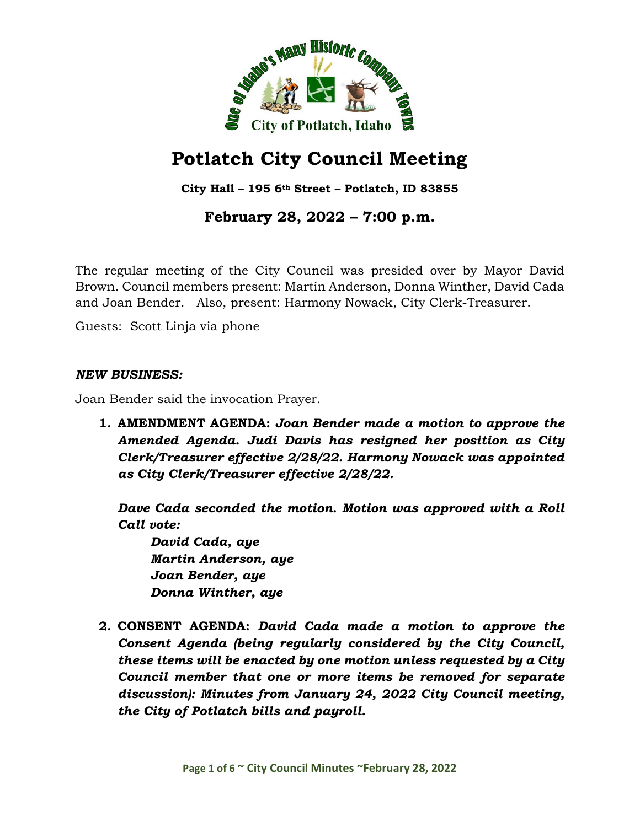

# **Potlatch City Council Meeting**

**City Hall – 195 6th Street – Potlatch, ID 83855**

## **February 28, 2022 – 7:00 p.m.**

The regular meeting of the City Council was presided over by Mayor David Brown. Council members present: Martin Anderson, Donna Winther, David Cada and Joan Bender. Also, present: Harmony Nowack, City Clerk-Treasurer.

Guests: Scott Linja via phone

#### *NEW BUSINESS:*

Joan Bender said the invocation Prayer.

**1. AMENDMENT AGENDA:** *Joan Bender made a motion to approve the Amended Agenda. Judi Davis has resigned her position as City Clerk/Treasurer effective 2/28/22. Harmony Nowack was appointed as City Clerk/Treasurer effective 2/28/22.*

*Dave Cada seconded the motion. Motion was approved with a Roll Call vote:*

*David Cada, aye Martin Anderson, aye Joan Bender, aye Donna Winther, aye*

**2. CONSENT AGENDA:** *David Cada made a motion to approve the Consent Agenda (being regularly considered by the City Council, these items will be enacted by one motion unless requested by a City Council member that one or more items be removed for separate discussion): Minutes from January 24, 2022 City Council meeting, the City of Potlatch bills and payroll.*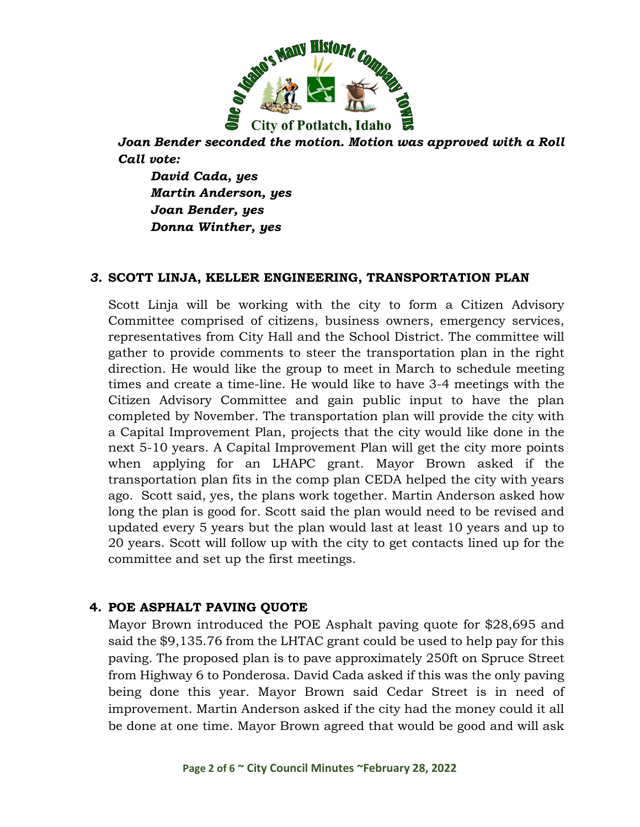

*Joan Bender seconded the motion. Motion was approved with a Roll Call vote:*

*David Cada, yes Martin Anderson, yes Joan Bender, yes Donna Winther, yes*

#### *3.* **SCOTT LINJA, KELLER ENGINEERING, TRANSPORTATION PLAN**

Scott Linja will be working with the city to form a Citizen Advisory Committee comprised of citizens, business owners, emergency services, representatives from City Hall and the School District. The committee will gather to provide comments to steer the transportation plan in the right direction. He would like the group to meet in March to schedule meeting times and create a time-line. He would like to have 3-4 meetings with the Citizen Advisory Committee and gain public input to have the plan completed by November. The transportation plan will provide the city with a Capital Improvement Plan, projects that the city would like done in the next 5-10 years. A Capital Improvement Plan will get the city more points when applying for an LHAPC grant. Mayor Brown asked if the transportation plan fits in the comp plan CEDA helped the city with years ago. Scott said, yes, the plans work together. Martin Anderson asked how long the plan is good for. Scott said the plan would need to be revised and updated every 5 years but the plan would last at least 10 years and up to 20 years. Scott will follow up with the city to get contacts lined up for the committee and set up the first meetings.

#### **4. POE ASPHALT PAVING QUOTE**

Mayor Brown introduced the POE Asphalt paving quote for \$28,695 and said the \$9,135.76 from the LHTAC grant could be used to help pay for this paving. The proposed plan is to pave approximately 250ft on Spruce Street from Highway 6 to Ponderosa. David Cada asked if this was the only paving being done this year. Mayor Brown said Cedar Street is in need of improvement. Martin Anderson asked if the city had the money could it all be done at one time. Mayor Brown agreed that would be good and will ask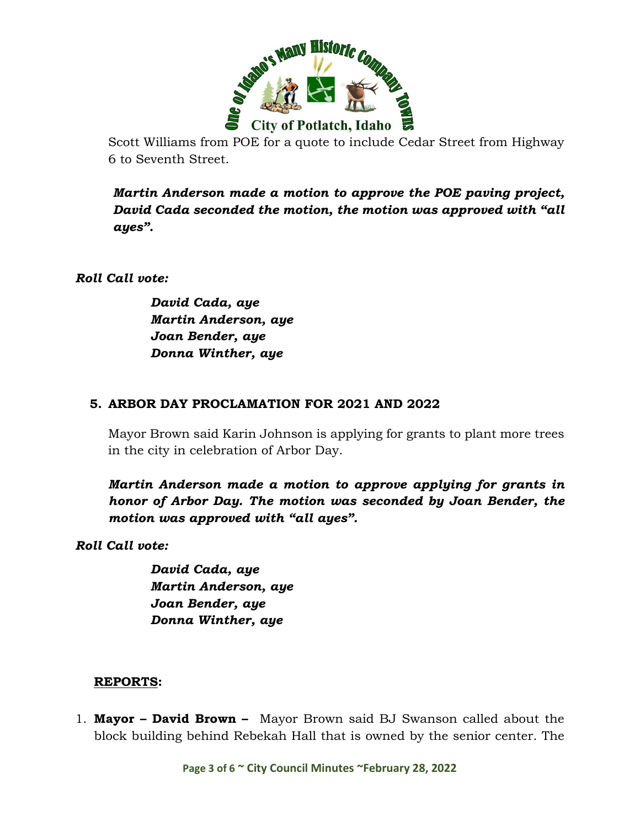

Scott Williams from POE for a quote to include Cedar Street from Highway 6 to Seventh Street.

*Martin Anderson made a motion to approve the POE paving project, David Cada seconded the motion, the motion was approved with "all ayes".* 

*Roll Call vote:* 

 *David Cada, aye Martin Anderson, aye Joan Bender, aye Donna Winther, aye* 

#### **5. ARBOR DAY PROCLAMATION FOR 2021 AND 2022**

Mayor Brown said Karin Johnson is applying for grants to plant more trees in the city in celebration of Arbor Day.

*Martin Anderson made a motion to approve applying for grants in honor of Arbor Day. The motion was seconded by Joan Bender, the motion was approved with "all ayes".* 

*Roll Call vote:* 

 *David Cada, aye Martin Anderson, aye Joan Bender, aye Donna Winther, aye* 

#### **REPORTS:**

1. **Mayor – David Brown –** Mayor Brown said BJ Swanson called about the block building behind Rebekah Hall that is owned by the senior center. The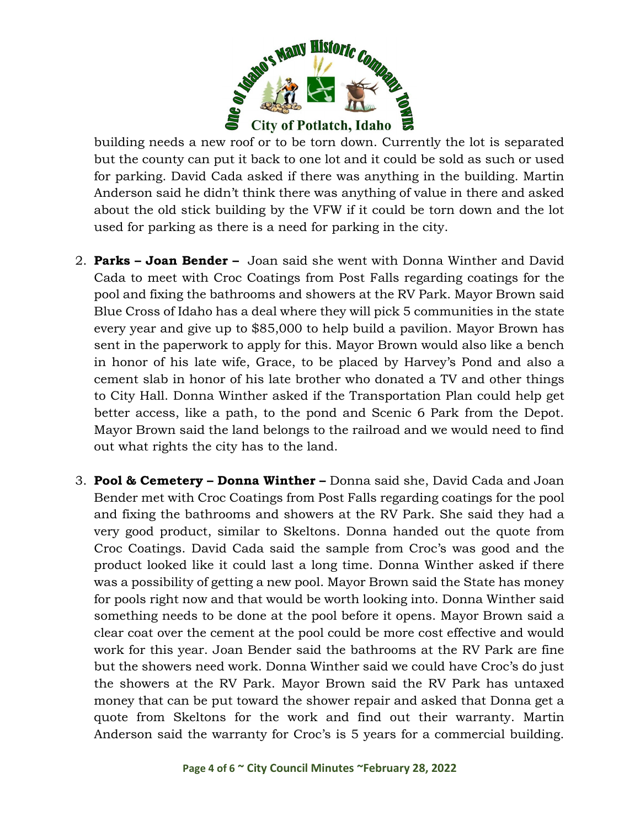

building needs a new roof or to be torn down. Currently the lot is separated but the county can put it back to one lot and it could be sold as such or used for parking. David Cada asked if there was anything in the building. Martin Anderson said he didn't think there was anything of value in there and asked about the old stick building by the VFW if it could be torn down and the lot used for parking as there is a need for parking in the city.

- 2. **Parks – Joan Bender –** Joan said she went with Donna Winther and David Cada to meet with Croc Coatings from Post Falls regarding coatings for the pool and fixing the bathrooms and showers at the RV Park. Mayor Brown said Blue Cross of Idaho has a deal where they will pick 5 communities in the state every year and give up to \$85,000 to help build a pavilion. Mayor Brown has sent in the paperwork to apply for this. Mayor Brown would also like a bench in honor of his late wife, Grace, to be placed by Harvey's Pond and also a cement slab in honor of his late brother who donated a TV and other things to City Hall. Donna Winther asked if the Transportation Plan could help get better access, like a path, to the pond and Scenic 6 Park from the Depot. Mayor Brown said the land belongs to the railroad and we would need to find out what rights the city has to the land.
- 3. **Pool & Cemetery – Donna Winther –** Donna said she, David Cada and Joan Bender met with Croc Coatings from Post Falls regarding coatings for the pool and fixing the bathrooms and showers at the RV Park. She said they had a very good product, similar to Skeltons. Donna handed out the quote from Croc Coatings. David Cada said the sample from Croc's was good and the product looked like it could last a long time. Donna Winther asked if there was a possibility of getting a new pool. Mayor Brown said the State has money for pools right now and that would be worth looking into. Donna Winther said something needs to be done at the pool before it opens. Mayor Brown said a clear coat over the cement at the pool could be more cost effective and would work for this year. Joan Bender said the bathrooms at the RV Park are fine but the showers need work. Donna Winther said we could have Croc's do just the showers at the RV Park. Mayor Brown said the RV Park has untaxed money that can be put toward the shower repair and asked that Donna get a quote from Skeltons for the work and find out their warranty. Martin Anderson said the warranty for Croc's is 5 years for a commercial building.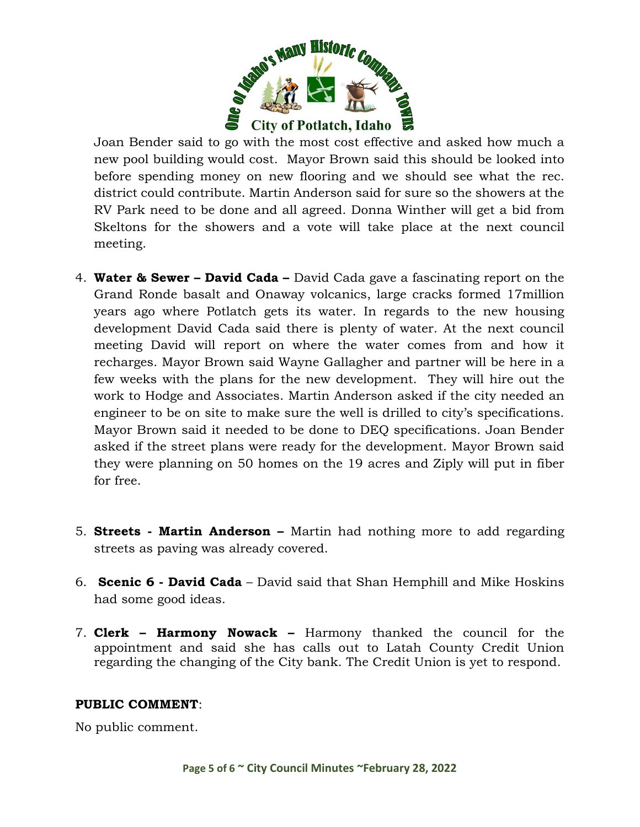

Joan Bender said to go with the most cost effective and asked how much a new pool building would cost. Mayor Brown said this should be looked into before spending money on new flooring and we should see what the rec. district could contribute. Martin Anderson said for sure so the showers at the RV Park need to be done and all agreed. Donna Winther will get a bid from Skeltons for the showers and a vote will take place at the next council meeting.

- 4. **Water & Sewer – David Cada –** David Cada gave a fascinating report on the Grand Ronde basalt and Onaway volcanics, large cracks formed 17million years ago where Potlatch gets its water. In regards to the new housing development David Cada said there is plenty of water. At the next council meeting David will report on where the water comes from and how it recharges. Mayor Brown said Wayne Gallagher and partner will be here in a few weeks with the plans for the new development. They will hire out the work to Hodge and Associates. Martin Anderson asked if the city needed an engineer to be on site to make sure the well is drilled to city's specifications. Mayor Brown said it needed to be done to DEQ specifications. Joan Bender asked if the street plans were ready for the development. Mayor Brown said they were planning on 50 homes on the 19 acres and Ziply will put in fiber for free.
- 5. **Streets - Martin Anderson –** Martin had nothing more to add regarding streets as paving was already covered.
- 6. **Scenic 6 - David Cada** David said that Shan Hemphill and Mike Hoskins had some good ideas.
- 7. **Clerk – Harmony Nowack –** Harmony thanked the council for the appointment and said she has calls out to Latah County Credit Union regarding the changing of the City bank. The Credit Union is yet to respond.

#### **PUBLIC COMMENT**:

No public comment.